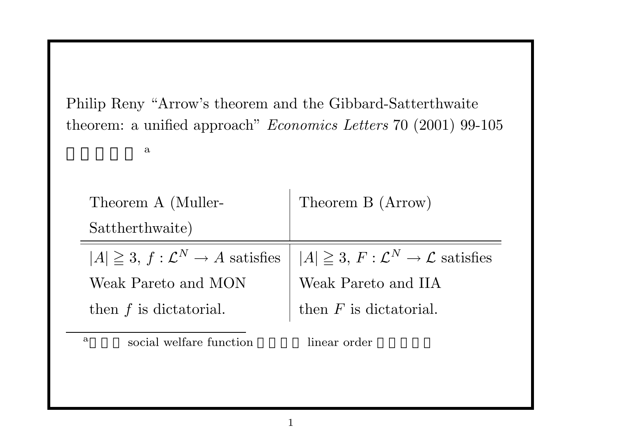Philip Reny "Arrow's theorem and the Gibbard-Satterthwaite theorem: a unified approach" *Economics Letters* 70 (2001) 99-105

のあらすじ <sup>a</sup>

| Theorem A (Muller-                                | Theorem B (Arrow)                                           |  |  |  |  |
|---------------------------------------------------|-------------------------------------------------------------|--|--|--|--|
| Sattherthwaite)                                   |                                                             |  |  |  |  |
| $ A  \geq 3$ , $f: \mathcal{L}^N \to A$ satisfies | $ A  \geq 3$ , $F: \mathcal{L}^N \to \mathcal{L}$ satisfies |  |  |  |  |
| Weak Pareto and MON                               | Weak Pareto and IIA                                         |  |  |  |  |
| then $f$ is dictatorial.                          | then $F$ is dictatorial.                                    |  |  |  |  |
|                                                   |                                                             |  |  |  |  |

a social welfare function linear order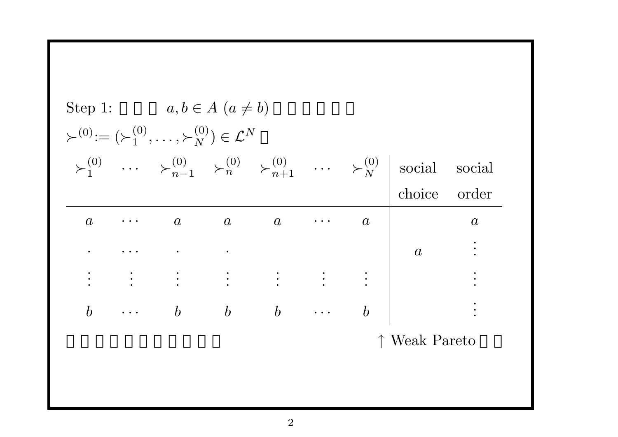| Step 1: $a, b \in A \ (a \neq b)$<br>$\succ^{(0)} := (\succ^{(0)}_1, \ldots, \succ^{(0)}_N) \in \mathcal{L}^N$ |                   |                                                                                            |  |  |  |                  |                                                                                                                                         |                  |
|----------------------------------------------------------------------------------------------------------------|-------------------|--------------------------------------------------------------------------------------------|--|--|--|------------------|-----------------------------------------------------------------------------------------------------------------------------------------|------------------|
|                                                                                                                |                   |                                                                                            |  |  |  |                  | $\succ_1^{(0)}$ $\cdots$ $\succ_{n-1}^{(0)}$ $\succ_n^{(0)}$ $\succ_{n+1}^{(0)}$ $\cdots$ $\succ_N^{(0)}$ social social<br>choice order |                  |
|                                                                                                                | $a \qquad \cdots$ | $a \qquad a \qquad a \qquad \cdots$                                                        |  |  |  | $\boldsymbol{a}$ |                                                                                                                                         | $\boldsymbol{a}$ |
|                                                                                                                |                   |                                                                                            |  |  |  |                  |                                                                                                                                         |                  |
|                                                                                                                |                   |                                                                                            |  |  |  |                  |                                                                                                                                         |                  |
|                                                                                                                |                   | $\begin{array}{ccccccccccccc} b & & \cdots & & b & & b & & b & & \cdots & & b \end{array}$ |  |  |  |                  |                                                                                                                                         |                  |
|                                                                                                                |                   |                                                                                            |  |  |  |                  | ↑ Weak Pareto                                                                                                                           |                  |
|                                                                                                                |                   |                                                                                            |  |  |  |                  |                                                                                                                                         |                  |
|                                                                                                                |                   |                                                                                            |  |  |  |                  |                                                                                                                                         |                  |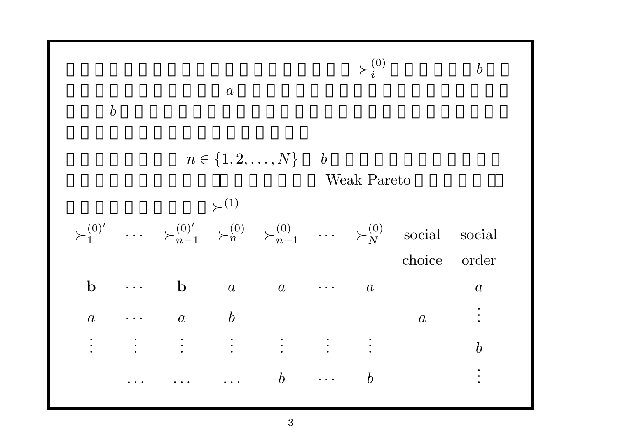|                  |                                   |                  |                                            |                  |                         |                  | $\boldsymbol{b}$                                                                                                                                    |
|------------------|-----------------------------------|------------------|--------------------------------------------|------------------|-------------------------|------------------|-----------------------------------------------------------------------------------------------------------------------------------------------------|
| $\boldsymbol{b}$ |                                   | $\boldsymbol{a}$ |                                            |                  |                         |                  |                                                                                                                                                     |
|                  |                                   |                  |                                            |                  |                         |                  |                                                                                                                                                     |
|                  |                                   |                  | $\succ^{(1)}$                              |                  |                         |                  |                                                                                                                                                     |
|                  |                                   |                  |                                            |                  |                         |                  | social                                                                                                                                              |
|                  |                                   |                  |                                            |                  |                         | choice           | order                                                                                                                                               |
| $\mathbf b$      | $\bullet$ , $\bullet$ , $\bullet$ | $\mathbf b$      | $\overline{a}$                             | $\boldsymbol{a}$ | $\boldsymbol{a}$        |                  | $\boldsymbol{a}$                                                                                                                                    |
| $\boldsymbol{a}$ |                                   |                  |                                            |                  |                         | $\boldsymbol{a}$ |                                                                                                                                                     |
| $\ddot{\cdot}$   |                                   |                  |                                            |                  |                         |                  | $\boldsymbol{b}$                                                                                                                                    |
|                  |                                   |                  |                                            | $\boldsymbol{b}$ |                         |                  |                                                                                                                                                     |
|                  |                                   |                  | $\mathbf{r}$ , $\mathbf{r}$ , $\mathbf{r}$ | $a$ $b$          | $n \in \{1, 2, , N\}$ b | $\succ_i^{(0)}$  | Weak Pareto<br>$\succ_1^{(0)'}$ $\succ_{n-1}^{(0)'}$ $\succ_n^{(0)}$ $\succ_{n+1}^{(0)}$ $\succ_N^{(0)}$ social<br>$\mathbf{r}$<br>$\boldsymbol{b}$ |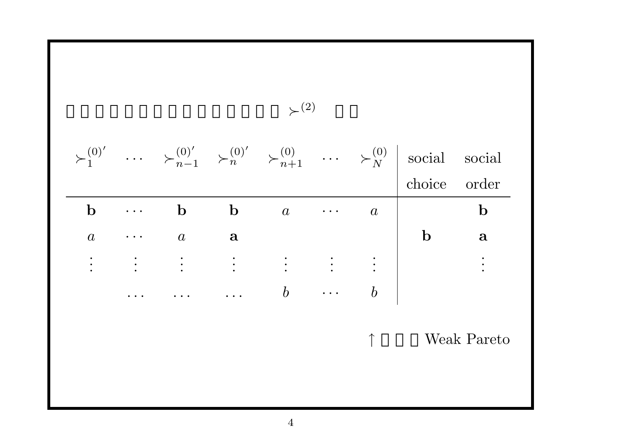$$
\begin{array}{ccccccccc}\n\searrow^{(0)'} & \cdots & \searrow^{(0)'}_{n-1} & \searrow^{(0)'}_{n} & \searrow^{(0)}_{n+1} & \cdots & \searrow^{(0)}_{N} & \text{social social} \\
\hline\n\mathbf{b} & \cdots & \mathbf{b} & \mathbf{b} & a & \cdots & a & \mathbf{b} \\
a & \cdots & a & \mathbf{a} & \cdots & \mathbf{b} & \cdots & \mathbf{b} \\
\vdots & \vdots & \vdots & \vdots & \vdots & \vdots & \vdots & \vdots \\
\cdots & \cdots & \cdots & \cdots & b & \cdots & b & \cdots & \mathbf{b} & \cdots & \mathbf{0} & \cdots & \mathbf{0} & \cdots & \mathbf{0} & \cdots & \mathbf{0} & \cdots & \mathbf{0} & \cdots & \mathbf{0} & \cdots & \mathbf{0} & \cdots & \mathbf{0} & \cdots & \mathbf{0} & \cdots & \mathbf{0} & \cdots & \mathbf{0} & \cdots & \mathbf{0} & \cdots & \mathbf{0} & \cdots & \mathbf{0} & \cdots & \mathbf{0} & \cdots & \mathbf{0} & \cdots & \mathbf{0} & \cdots & \mathbf{0} & \cdots & \mathbf{0} & \cdots & \mathbf{0} & \cdots & \mathbf{0} & \cdots & \mathbf{0} & \cdots & \mathbf{0} & \cdots & \mathbf{0} & \cdots & \mathbf{0} & \cdots & \mathbf{0} & \cdots & \mathbf{0} & \cdots & \mathbf{0} & \cdots & \mathbf{0} & \cdots & \mathbf{0} & \cdots &
$$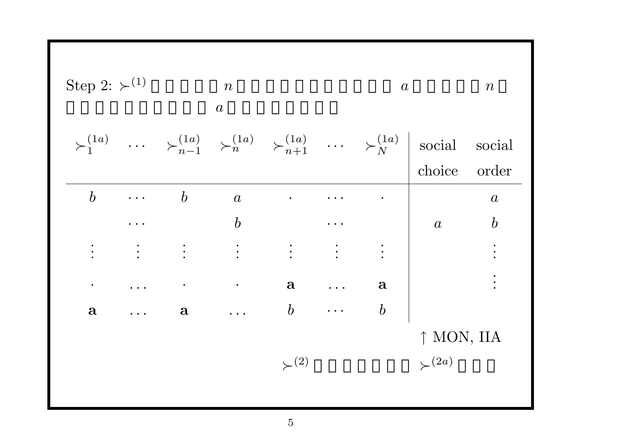| Step 2: $\succ$ <sup>(1)</sup> |                                                    | $\boldsymbol{n}$<br>$\boldsymbol{a}$                         |                  |                  |                      | $\boldsymbol{a}$ |                                                                                                                                                                                                | $\, n \,$        |
|--------------------------------|----------------------------------------------------|--------------------------------------------------------------|------------------|------------------|----------------------|------------------|------------------------------------------------------------------------------------------------------------------------------------------------------------------------------------------------|------------------|
|                                |                                                    |                                                              |                  |                  |                      |                  | $\succ_1^{(1a)} \quad \cdots \quad \succ_{n-1}^{(1a)} \quad \succ_n^{(1a)} \quad \succ_{n+1}^{(1a)} \quad \cdots \quad \succ_N^{(1a)} \quad \text{social} \quad \text{social}$<br>choice order |                  |
| $\boldsymbol{b}$               | $\ddot{\bullet}$ $\ddot{\bullet}$ $\ddot{\bullet}$ | $\boldsymbol{b}$                                             | $\overline{a}$   | $\bullet$ .      |                      |                  |                                                                                                                                                                                                | $\boldsymbol{a}$ |
|                                |                                                    |                                                              | $\boldsymbol{b}$ |                  |                      |                  | $\boldsymbol{a}$                                                                                                                                                                               | $\boldsymbol{b}$ |
|                                | $\ddot{\cdot}$                                     | $\begin{array}{c} \bullet \\ \bullet \\ \bullet \end{array}$ |                  |                  |                      | $\ddot{\cdot}$   |                                                                                                                                                                                                |                  |
|                                | $\dddot{\bullet}$ .                                | $\bullet$                                                    | $\bullet$        | $\mathbf{a}$     | $\ddot{\phantom{1}}$ | $\mathbf{a}$     |                                                                                                                                                                                                |                  |
| $\mathbf{a}$                   |                                                    | $\mathbf{a}$                                                 |                  | $\boldsymbol{b}$ | $\mathbf{r}$         | $\boldsymbol{b}$ |                                                                                                                                                                                                |                  |
|                                |                                                    |                                                              |                  |                  |                      |                  | ↑ MON, IIA                                                                                                                                                                                     |                  |
|                                |                                                    |                                                              |                  | $\succ^{(2)}$    |                      |                  | $\leftthreetimes^{(2a)}$                                                                                                                                                                       |                  |
|                                |                                                    |                                                              |                  |                  |                      |                  |                                                                                                                                                                                                |                  |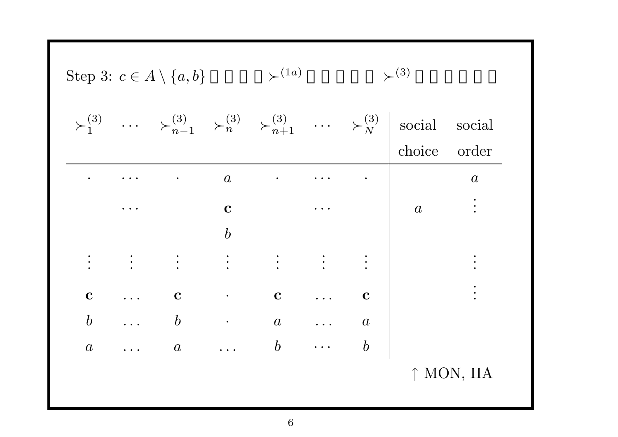| \n        Step 3: $c \in A \setminus \{a, b\}$<br>\n $\succ_{1}^{(3)}$<br>\n $\succ_{1}^{(3)}$<br>\n $\succ_{n-1}^{(3)}$<br>\n $\succ_{n}^{(3)}$<br>\n $\succ_{n+1}^{(3)}$<br>\n $\succ_{n+1}^{(3)}$<br>\n $\succ_{N}^{(3)}$<br>\n $\succ_{N}^{(3)}$<br>\n        score and<br>\n        choice order\n |          |     |     |     |     |   |
|---------------------------------------------------------------------------------------------------------------------------------------------------------------------------------------------------------------------------------------------------------------------------------------------------------|----------|-----|-----|-----|-----|---|
| ...                                                                                                                                                                                                                                                                                                     | a        | ... | a   |     |     |   |
| ...                                                                                                                                                                                                                                                                                                     | a        | ... | a   |     |     |   |
| ...                                                                                                                                                                                                                                                                                                     | a        | ... | a   |     |     |   |
| ...                                                                                                                                                                                                                                                                                                     | b        | ... | c   | ... | c   |   |
| b                                                                                                                                                                                                                                                                                                       | ...      | b   | ... | a   | ... | a |
| a                                                                                                                                                                                                                                                                                                       | ...      | a   | ... | a   | ... | b |
| ...                                                                                                                                                                                                                                                                                                     | ...      | ... | a   | ... | a   |   |
| a                                                                                                                                                                                                                                                                                                       | ...      | a   | ... | b   | ... | b |
| 1                                                                                                                                                                                                                                                                                                       | MON, IIA |     |     |     |     |   |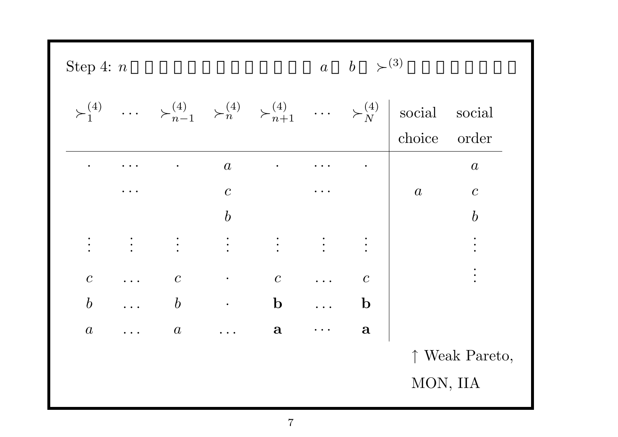| ↑ Weak Pareto, |
|----------------|
|                |
|                |